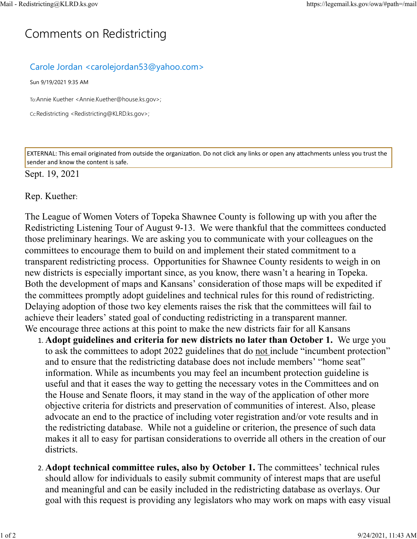## C[omm](https://legemail.ks.gov/owa/#path=/mail)ents on Redistricting

## Carole Jordan <carolejordan53@yahoo.com>

Sun 9/19/2021 9:35 AM

To:Annie Kuether <Annie.Kuether@house.ks.gov>;

Cc:Redistricting <Redistricting@KLRD.ks.gov>;

EXTERNAL: This email originated from outside the organization. Do not click any links or open any attachments unless you trust the sender and know the content is safe.

## Sept. 19, 2021

Rep. Kuether:

The League of Women Voters of Topeka Shawnee County is following up with you after the Redistricting Listening Tour of August 9-13. We were thankful that the committees conducted those preliminary hearings. We are asking you to communicate with your colleagues on the committees to encourage them to build on and implement their stated commitment to a transparent redistricting process. Opportunities for Shawnee County residents to weigh in on new districts is especially important since, as you know, there wasn't a hearing in Topeka. Both the development of maps and Kansans' consideration of those maps will be expedited if the committees promptly adopt guidelines and technical rules for this round of redistricting. Delaying adoption of those two key elements raises the risk that the committees will fail to achieve their leaders' stated goal of conducting redistricting in a transparent manner. We encourage three actions at this point to make the new districts fair for all Kansans

- 1. **Adopt guidelines and criteria for new districts no later than October 1.** We urge you to ask the committees to adopt 2022 guidelines that do not include "incumbent protection" and to ensure that the redistricting database does not include members' "home seat" information. While as incumbents you may feel an incumbent protection guideline is useful and that it eases the way to getting the necessary votes in the Committees and on the House and Senate floors, it may stand in the way of the application of other more objective criteria for districts and preservation of communities of interest. Also, please advocate an end to the practice of including voter registration and/or vote results and in the redistricting database. While not a guideline or criterion, the presence of such data makes it all to easy for partisan considerations to override all others in the creation of our districts.
- 2. **Adopt technical committee rules, also by October 1.** The committees' technical rules should allow for individuals to easily submit community of interest maps that are useful and meaningful and can be easily included in the redistricting database as overlays. Our goal with this request is providing any legislators who may work on maps with easy visual